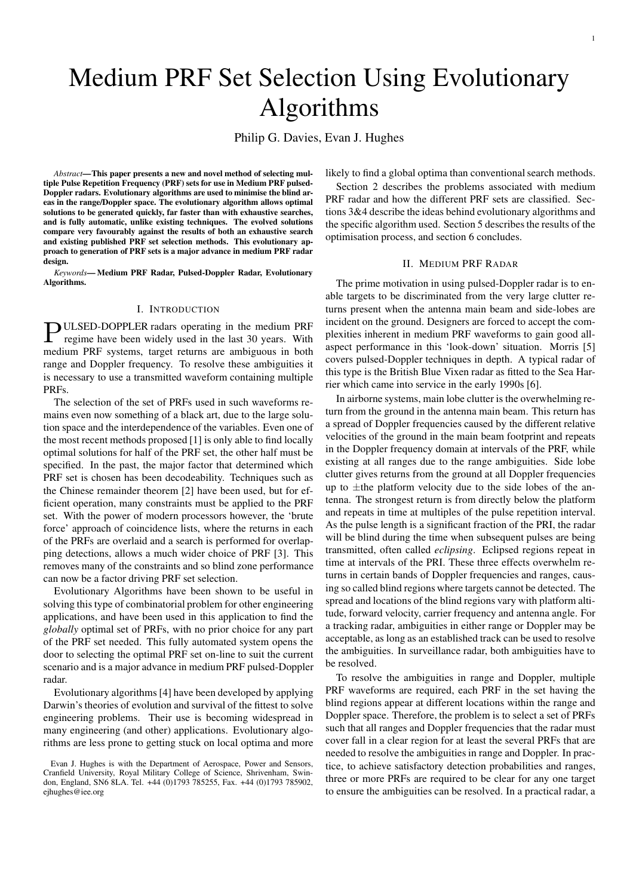# Medium PRF Set Selection Using Evolutionary Algorithms

Philip G. Davies, Evan J. Hughes

*Abstract*—This paper presents a new and novel method of selecting multiple Pulse Repetition Frequency (PRF) sets for use in Medium PRF pulsed-Doppler radars. Evolutionary algorithms are used to minimise the blind areas in the range/Doppler space. The evolutionary algorithm allows optimal solutions to be generated quickly, far faster than with exhaustive searches, and is fully automatic, unlike existing techniques. The evolved solutions compare very favourably against the results of both an exhaustive search and existing published PRF set selection methods. This evolutionary approach to generation of PRF sets is a major advance in medium PRF radar design.

*Keywords*— Medium PRF Radar, Pulsed-Doppler Radar, Evolutionary Algorithms.

#### I. INTRODUCTION

**PULSED-DOPPLER** radars operating in the medium PRF regime have been widely used in the last 30 years. With regime have been widely used in the last 30 years. With medium PRF systems, target returns are ambiguous in both range and Doppler frequency. To resolve these ambiguities it is necessary to use a transmitted waveform containing multiple PRFs.

The selection of the set of PRFs used in such waveforms remains even now something of a black art, due to the large solution space and the interdependence of the variables. Even one of the most recent methods proposed [1] is only able to find locally optimal solutions for half of the PRF set, the other half must be specified. In the past, the major factor that determined which PRF set is chosen has been decodeability. Techniques such as the Chinese remainder theorem [2] have been used, but for efficient operation, many constraints must be applied to the PRF set. With the power of modern processors however, the 'brute force' approach of coincidence lists, where the returns in each of the PRFs are overlaid and a search is performed for overlapping detections, allows a much wider choice of PRF [3]. This removes many of the constraints and so blind zone performance can now be a factor driving PRF set selection.

Evolutionary Algorithms have been shown to be useful in solving this type of combinatorial problem for other engineering applications, and have been used in this application to find the *globally* optimal set of PRFs, with no prior choice for any part of the PRF set needed. This fully automated system opens the door to selecting the optimal PRF set on-line to suit the current scenario and is a major advance in medium PRF pulsed-Doppler radar.

Evolutionary algorithms [4] have been developed by applying Darwin's theories of evolution and survival of the fittest to solve engineering problems. Their use is becoming widespread in many engineering (and other) applications. Evolutionary algorithms are less prone to getting stuck on local optima and more likely to find a global optima than conventional search methods.

Section 2 describes the problems associated with medium PRF radar and how the different PRF sets are classified. Sections 3&4 describe the ideas behind evolutionary algorithms and the specific algorithm used. Section 5 describes the results of the optimisation process, and section 6 concludes.

# II. MEDIUM PRF RADAR

The prime motivation in using pulsed-Doppler radar is to enable targets to be discriminated from the very large clutter returns present when the antenna main beam and side-lobes are incident on the ground. Designers are forced to accept the complexities inherent in medium PRF waveforms to gain good allaspect performance in this 'look-down' situation. Morris [5] covers pulsed-Doppler techniques in depth. A typical radar of this type is the British Blue Vixen radar as fitted to the Sea Harrier which came into service in the early 1990s [6].

In airborne systems, main lobe clutter is the overwhelming return from the ground in the antenna main beam. This return has a spread of Doppler frequencies caused by the different relative velocities of the ground in the main beam footprint and repeats in the Doppler frequency domain at intervals of the PRF, while existing at all ranges due to the range ambiguities. Side lobe clutter gives returns from the ground at all Doppler frequencies up to  $\pm$ the platform velocity due to the side lobes of the antenna. The strongest return is from directly below the platform and repeats in time at multiples of the pulse repetition interval. As the pulse length is a significant fraction of the PRI, the radar will be blind during the time when subsequent pulses are being transmitted, often called *eclipsing*. Eclipsed regions repeat in time at intervals of the PRI. These three effects overwhelm returns in certain bands of Doppler frequencies and ranges, causing so called blind regions where targets cannot be detected. The spread and locations of the blind regions vary with platform altitude, forward velocity, carrier frequency and antenna angle. For a tracking radar, ambiguities in either range or Doppler may be acceptable, as long as an established track can be used to resolve the ambiguities. In surveillance radar, both ambiguities have to be resolved.

To resolve the ambiguities in range and Doppler, multiple PRF waveforms are required, each PRF in the set having the blind regions appear at different locations within the range and Doppler space. Therefore, the problem is to select a set of PRFs such that all ranges and Doppler frequencies that the radar must cover fall in a clear region for at least the several PRFs that are needed to resolve the ambiguities in range and Doppler. In practice, to achieve satisfactory detection probabilities and ranges, three or more PRFs are required to be clear for any one target to ensure the ambiguities can be resolved. In a practical radar, a

Evan J. Hughes is with the Department of Aerospace, Power and Sensors, Cranfield University, Royal Military College of Science, Shrivenham, Swindon, England, SN6 8LA. Tel. +44 (0)1793 785255, Fax. +44 (0)1793 785902, ejhughes@iee.org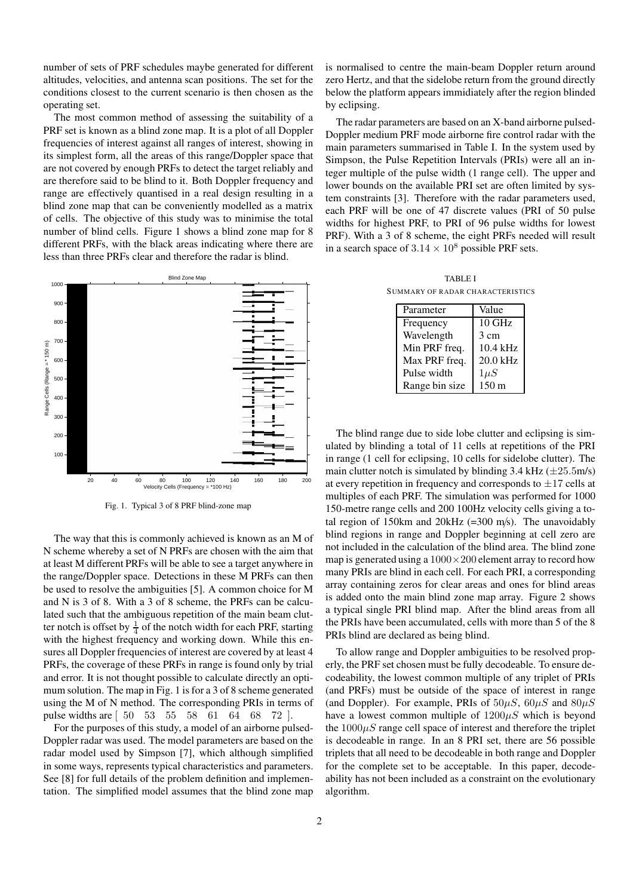number of sets of PRF schedules maybe generated for different altitudes, velocities, and antenna scan positions. The set for the conditions closest to the current scenario is then chosen as the operating set.

The most common method of assessing the suitability of a PRF set is known as a blind zone map. It is a plot of all Doppler frequencies of interest against all ranges of interest, showing in its simplest form, all the areas of this range/Doppler space that are not covered by enough PRFs to detect the target reliably and are therefore said to be blind to it. Both Doppler frequency and range are effectively quantised in a real design resulting in a blind zone map that can be conveniently modelled as a matrix of cells. The objective of this study was to minimise the total number of blind cells. Figure 1 shows a blind zone map for 8 different PRFs, with the black areas indicating where there are less than three PRFs clear and therefore the radar is blind.



Fig. 1. Typical 3 of 8 PRF blind-zone map

The way that this is commonly achieved is known as an M of N scheme whereby a set of N PRFs are chosen with the aim that at least M different PRFs will be able to see a target anywhere in the range/Doppler space. Detections in these M PRFs can then be used to resolve the ambiguities [5]. A common choice for M and N is 3 of 8. With a 3 of 8 scheme, the PRFs can be calculated such that the ambiguous repetition of the main beam clutter notch is offset by  $\frac{1}{4}$  of the notch width for each PRF, starting with the highest frequency and working down. While this ensures all Doppler frequencies of interest are covered by at least 4 PRFs, the coverage of these PRFs in range is found only by trial and error. It is not thought possible to calculate directly an optimum solution. The map in Fig. 1 is for a 3 of 8 scheme generated using the M of N method. The corresponding PRIs in terms of pulse widths are [ 50 53 55 58 61 64 68 72 ].

For the purposes of this study, a model of an airborne pulsed-Doppler radar was used. The model parameters are based on the radar model used by Simpson [7], which although simplified in some ways, represents typical characteristics and parameters. See [8] for full details of the problem definition and implementation. The simplified model assumes that the blind zone map is normalised to centre the main-beam Doppler return around zero Hertz, and that the sidelobe return from the ground directly below the platform appears immidiately after the region blinded by eclipsing.

The radar parameters are based on an X-band airborne pulsed-Doppler medium PRF mode airborne fire control radar with the main parameters summarised in Table I. In the system used by Simpson, the Pulse Repetition Intervals (PRIs) were all an integer multiple of the pulse width (1 range cell). The upper and lower bounds on the available PRI set are often limited by system constraints [3]. Therefore with the radar parameters used, each PRF will be one of 47 discrete values (PRI of 50 pulse widths for highest PRF, to PRI of 96 pulse widths for lowest PRF). With a 3 of 8 scheme, the eight PRFs needed will result in a search space of  $3.14 \times 10^8$  possible PRF sets.

TABLE I SUMMARY OF RADAR CHARACTERISTICS

| Parameter      | Value            |
|----------------|------------------|
| Frequency      | $10$ GHz         |
| Wavelength     | 3 cm             |
| Min PRF freq.  | 10.4 kHz         |
| Max PRF freq.  | 20.0 kHz         |
| Pulse width    | $1 \mu S$        |
| Range bin size | 150 <sub>m</sub> |

The blind range due to side lobe clutter and eclipsing is simulated by blinding a total of 11 cells at repetitions of the PRI in range (1 cell for eclipsing, 10 cells for sidelobe clutter). The main clutter notch is simulated by blinding 3.4 kHz  $(\pm 25.5 \text{m/s})$ at every repetition in frequency and corresponds to  $\pm 17$  cells at multiples of each PRF. The simulation was performed for 1000 150-metre range cells and 200 100Hz velocity cells giving a total region of 150km and 20kHz (=300 m/s). The unavoidably blind regions in range and Doppler beginning at cell zero are not included in the calculation of the blind area. The blind zone map is generated using a  $1000 \times 200$  element array to record how many PRIs are blind in each cell. For each PRI, a corresponding array containing zeros for clear areas and ones for blind areas is added onto the main blind zone map array. Figure 2 shows a typical single PRI blind map. After the blind areas from all the PRIs have been accumulated, cells with more than 5 of the 8 PRIs blind are declared as being blind.

To allow range and Doppler ambiguities to be resolved properly, the PRF set chosen must be fully decodeable. To ensure decodeability, the lowest common multiple of any triplet of PRIs (and PRFs) must be outside of the space of interest in range (and Doppler). For example, PRIs of  $50\mu S$ ,  $60\mu S$  and  $80\mu S$ have a lowest common multiple of  $1200\mu S$  which is beyond the  $1000\mu S$  range cell space of interest and therefore the triplet is decodeable in range. In an 8 PRI set, there are 56 possible triplets that all need to be decodeable in both range and Doppler for the complete set to be acceptable. In this paper, decodeability has not been included as a constraint on the evolutionary algorithm.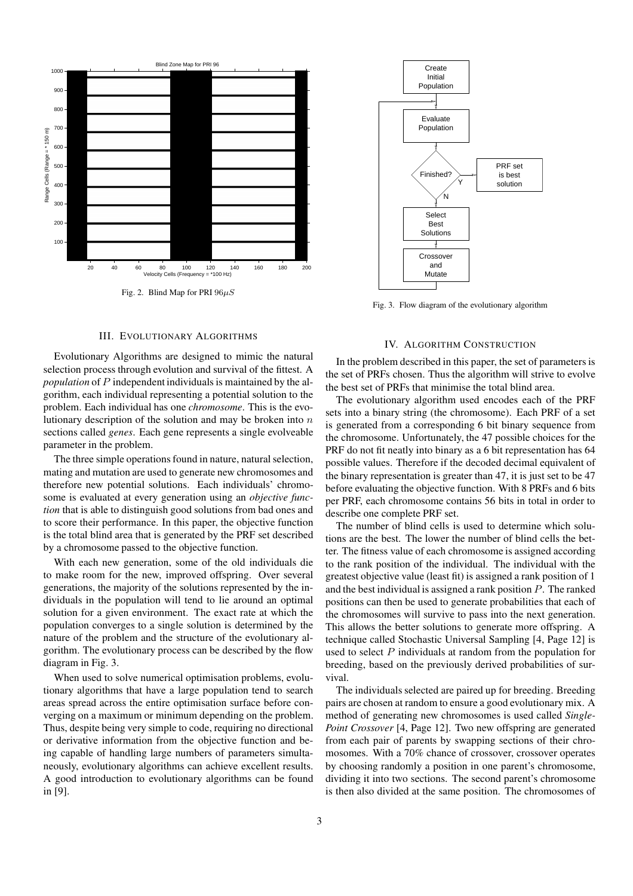

### III. EVOLUTIONARY ALGORITHMS

Evolutionary Algorithms are designed to mimic the natural selection process through evolution and survival of the fittest. A *population* of P independent individuals is maintained by the algorithm, each individual representing a potential solution to the problem. Each individual has one *chromosome*. This is the evolutionary description of the solution and may be broken into  $n$ sections called *genes*. Each gene represents a single evolveable parameter in the problem.

The three simple operations found in nature, natural selection, mating and mutation are used to generate new chromosomes and therefore new potential solutions. Each individuals' chromosome is evaluated at every generation using an *objective function* that is able to distinguish good solutions from bad ones and to score their performance. In this paper, the objective function is the total blind area that is generated by the PRF set described by a chromosome passed to the objective function.

With each new generation, some of the old individuals die to make room for the new, improved offspring. Over several generations, the majority of the solutions represented by the individuals in the population will tend to lie around an optimal solution for a given environment. The exact rate at which the population converges to a single solution is determined by the nature of the problem and the structure of the evolutionary algorithm. The evolutionary process can be described by the flow diagram in Fig. 3.

When used to solve numerical optimisation problems, evolutionary algorithms that have a large population tend to search areas spread across the entire optimisation surface before converging on a maximum or minimum depending on the problem. Thus, despite being very simple to code, requiring no directional or derivative information from the objective function and being capable of handling large numbers of parameters simultaneously, evolutionary algorithms can achieve excellent results. A good introduction to evolutionary algorithms can be found in [9].



Fig. 3. Flow diagram of the evolutionary algorithm

## IV. ALGORITHM CONSTRUCTION

In the problem described in this paper, the set of parameters is the set of PRFs chosen. Thus the algorithm will strive to evolve the best set of PRFs that minimise the total blind area.

The evolutionary algorithm used encodes each of the PRF sets into a binary string (the chromosome). Each PRF of a set is generated from a corresponding 6 bit binary sequence from the chromosome. Unfortunately, the 47 possible choices for the PRF do not fit neatly into binary as a 6 bit representation has 64 possible values. Therefore if the decoded decimal equivalent of the binary representation is greater than 47, it is just set to be 47 before evaluating the objective function. With 8 PRFs and 6 bits per PRF, each chromosome contains 56 bits in total in order to describe one complete PRF set.

The number of blind cells is used to determine which solutions are the best. The lower the number of blind cells the better. The fitness value of each chromosome is assigned according to the rank position of the individual. The individual with the greatest objective value (least fit) is assigned a rank position of 1 and the best individual is assigned a rank position P. The ranked positions can then be used to generate probabilities that each of the chromosomes will survive to pass into the next generation. This allows the better solutions to generate more offspring. A technique called Stochastic Universal Sampling [4, Page 12] is used to select  $P$  individuals at random from the population for breeding, based on the previously derived probabilities of survival.

The individuals selected are paired up for breeding. Breeding pairs are chosen at random to ensure a good evolutionary mix. A method of generating new chromosomes is used called *Single-Point Crossover* [4, Page 12]. Two new offspring are generated from each pair of parents by swapping sections of their chromosomes. With a 70% chance of crossover, crossover operates by choosing randomly a position in one parent's chromosome, dividing it into two sections. The second parent's chromosome is then also divided at the same position. The chromosomes of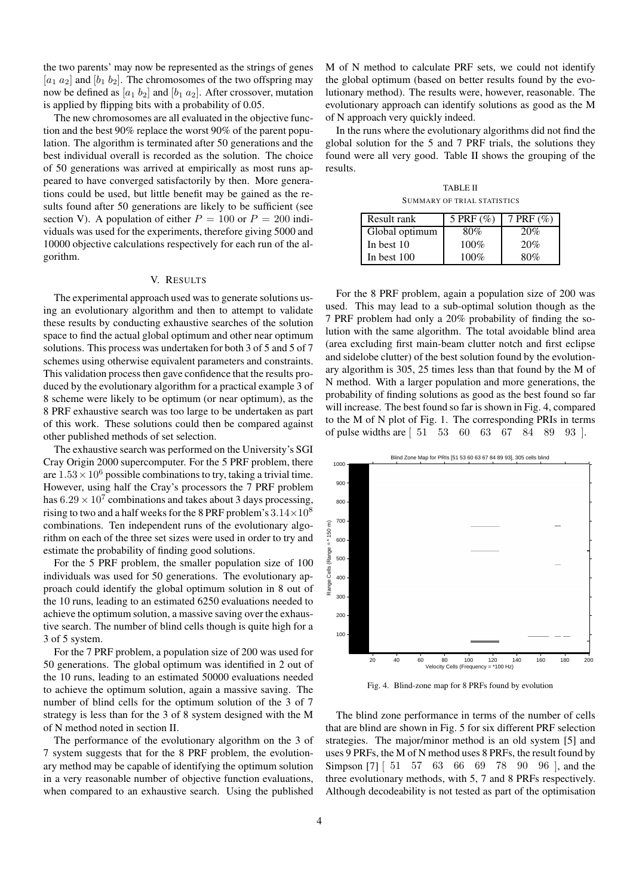the two parents' may now be represented as the strings of genes  $[a_1, a_2]$  and  $[b_1, b_2]$ . The chromosomes of the two offspring may now be defined as  $[a_1 \, b_2]$  and  $[b_1 \, a_2]$ . After crossover, mutation is applied by flipping bits with a probability of 0.05.

The new chromosomes are all evaluated in the objective function and the best 90% replace the worst 90% of the parent population. The algorithm is terminated after 50 generations and the best individual overall is recorded as the solution. The choice of 50 generations was arrived at empirically as most runs appeared to have converged satisfactorily by then. More generations could be used, but little benefit may be gained as the results found after 50 generations are likely to be sufficient (see section V). A population of either  $P = 100$  or  $P = 200$  individuals was used for the experiments, therefore giving 5000 and 10000 objective calculations respectively for each run of the algorithm.

## V. RESULTS

The experimental approach used was to generate solutions using an evolutionary algorithm and then to attempt to validate these results by conducting exhaustive searches of the solution space to find the actual global optimum and other near optimum solutions. This process was undertaken for both 3 of 5 and 5 of 7 schemes using otherwise equivalent parameters and constraints. This validation process then gave confidence that the results produced by the evolutionary algorithm for a practical example 3 of 8 scheme were likely to be optimum (or near optimum), as the 8 PRF exhaustive search was too large to be undertaken as part of this work. These solutions could then be compared against other published methods of set selection.

The exhaustive search was performed on the University's SGI Cray Origin 2000 supercomputer. For the 5 PRF problem, there are  $1.53 \times 10^6$  possible combinations to try, taking a trivial time. However, using half the Cray's processors the 7 PRF problem has  $6.29 \times 10^7$  combinations and takes about 3 days processing, rising to two and a half weeks for the 8 PRF problem's  $3.14\times10^8$ combinations. Ten independent runs of the evolutionary algorithm on each of the three set sizes were used in order to try and estimate the probability of finding good solutions.

For the 5 PRF problem, the smaller population size of 100 individuals was used for 50 generations. The evolutionary approach could identify the global optimum solution in 8 out of the 10 runs, leading to an estimated 6250 evaluations needed to achieve the optimum solution, a massive saving over the exhaustive search. The number of blind cells though is quite high for a 3 of 5 system.

For the 7 PRF problem, a population size of 200 was used for 50 generations. The global optimum was identified in 2 out of the 10 runs, leading to an estimated 50000 evaluations needed to achieve the optimum solution, again a massive saving. The number of blind cells for the optimum solution of the 3 of 7 strategy is less than for the 3 of 8 system designed with the M of N method noted in section II.

The performance of the evolutionary algorithm on the 3 of 7 system suggests that for the 8 PRF problem, the evolutionary method may be capable of identifying the optimum solution in a very reasonable number of objective function evaluations, when compared to an exhaustive search. Using the published M of N method to calculate PRF sets, we could not identify the global optimum (based on better results found by the evolutionary method). The results were, however, reasonable. The evolutionary approach can identify solutions as good as the M of N approach very quickly indeed.

In the runs where the evolutionary algorithms did not find the global solution for the 5 and 7 PRF trials, the solutions they found were all very good. Table II shows the grouping of the results.

TABLE II SUMMARY OF TRIAL STATISTICS

| Result rank    | 5 PRF $(\%)$ | 7 PRF $(\% )$ |
|----------------|--------------|---------------|
| Global optimum | 80%          | 20%           |
| In best 10     | $100\%$      | 20%           |
| In best $100$  | $100\%$      | 80%           |

For the 8 PRF problem, again a population size of 200 was used. This may lead to a sub-optimal solution though as the 7 PRF problem had only a 20% probability of finding the solution with the same algorithm. The total avoidable blind area (area excluding first main-beam clutter notch and first eclipse and sidelobe clutter) of the best solution found by the evolutionary algorithm is 305, 25 times less than that found by the M of N method. With a larger population and more generations, the probability of finding solutions as good as the best found so far will increase. The best found so far is shown in Fig. 4, compared to the M of N plot of Fig. 1. The corresponding PRIs in terms of pulse widths are [ 51 53 60 63 67 84 89 93 ].



Fig. 4. Blind-zone map for 8 PRFs found by evolution

The blind zone performance in terms of the number of cells that are blind are shown in Fig. 5 for six different PRF selection strategies. The major/minor method is an old system [5] and uses 9 PRFs, the M of N method uses 8 PRFs, the result found by Simpson [7] [ 51 57 63 66 69 78 90 96 ], and the three evolutionary methods, with 5, 7 and 8 PRFs respectively. Although decodeability is not tested as part of the optimisation